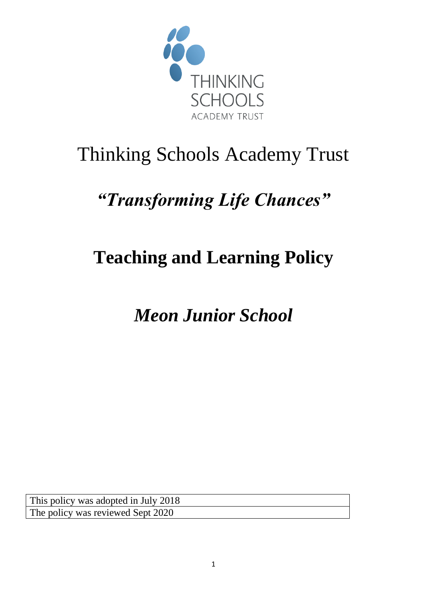

# Thinking Schools Academy Trust

# *"Transforming Life Chances"*

# **Teaching and Learning Policy**

*Meon Junior School*

This policy was adopted in July 2018 The policy was reviewed Sept 2020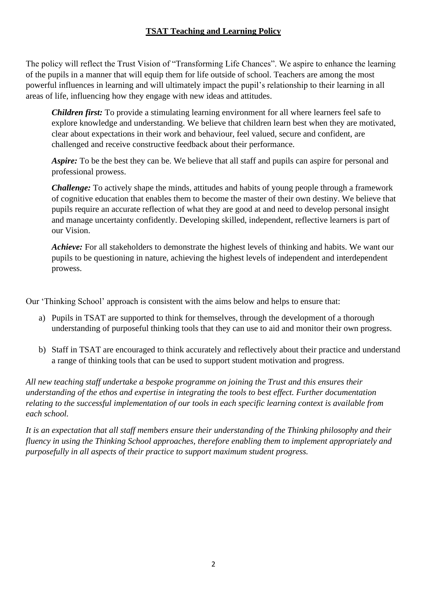# **TSAT Teaching and Learning Policy**

The policy will reflect the Trust Vision of "Transforming Life Chances". We aspire to enhance the learning of the pupils in a manner that will equip them for life outside of school. Teachers are among the most powerful influences in learning and will ultimately impact the pupil's relationship to their learning in all areas of life, influencing how they engage with new ideas and attitudes.

*Children first:* To provide a stimulating learning environment for all where learners feel safe to explore knowledge and understanding. We believe that children learn best when they are motivated, clear about expectations in their work and behaviour, feel valued, secure and confident, are challenged and receive constructive feedback about their performance.

*Aspire:* To be the best they can be. We believe that all staff and pupils can aspire for personal and professional prowess.

*Challenge:* To actively shape the minds, attitudes and habits of young people through a framework of cognitive education that enables them to become the master of their own destiny. We believe that pupils require an accurate reflection of what they are good at and need to develop personal insight and manage uncertainty confidently. Developing skilled, independent, reflective learners is part of our Vision.

*Achieve:* For all stakeholders to demonstrate the highest levels of thinking and habits. We want our pupils to be questioning in nature, achieving the highest levels of independent and interdependent prowess.

Our 'Thinking School' approach is consistent with the aims below and helps to ensure that:

- a) Pupils in TSAT are supported to think for themselves, through the development of a thorough understanding of purposeful thinking tools that they can use to aid and monitor their own progress.
- b) Staff in TSAT are encouraged to think accurately and reflectively about their practice and understand a range of thinking tools that can be used to support student motivation and progress.

*All new teaching staff undertake a bespoke programme on joining the Trust and this ensures their understanding of the ethos and expertise in integrating the tools to best effect. Further documentation relating to the successful implementation of our tools in each specific learning context is available from each school.* 

*It is an expectation that all staff members ensure their understanding of the Thinking philosophy and their fluency in using the Thinking School approaches, therefore enabling them to implement appropriately and purposefully in all aspects of their practice to support maximum student progress.*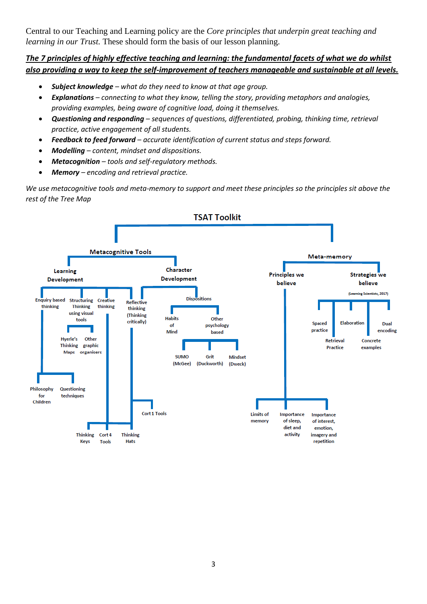Central to our Teaching and Learning policy are the *Core principles that underpin great teaching and learning in our Trust.* These should form the basis of our lesson planning.

## *The 7 principles of highly effective teaching and learning: the fundamental facets of what we do whilst also providing a way to keep the self-improvement of teachers manageable and sustainable at all levels.*

- *Subject knowledge – what do they need to know at that age group.*
- *Explanations – connecting to what they know, telling the story, providing metaphors and analogies, providing examples, being aware of cognitive load, doing it themselves.*
- *Questioning and responding – sequences of questions, differentiated, probing, thinking time, retrieval practice, active engagement of all students.*
- *Feedback to feed forward – accurate identification of current status and steps forward.*
- *Modelling – content, mindset and dispositions.*
- *Metacognition – tools and self-regulatory methods.*
- *Memory – encoding and retrieval practice.*

*We use metacognitive tools and meta-memory to support and meet these principles so the principles sit above the rest of the Tree Map*

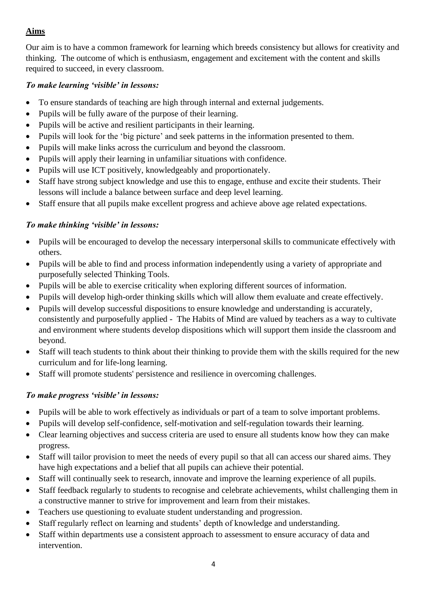# **Aims**

Our aim is to have a common framework for learning which breeds consistency but allows for creativity and thinking. The outcome of which is enthusiasm, engagement and excitement with the content and skills required to succeed, in every classroom.

## *To make learning 'visible' in lessons:*

- To ensure standards of teaching are high through internal and external judgements.
- Pupils will be fully aware of the purpose of their learning.
- Pupils will be active and resilient participants in their learning.
- Pupils will look for the 'big picture' and seek patterns in the information presented to them.
- Pupils will make links across the curriculum and beyond the classroom.
- Pupils will apply their learning in unfamiliar situations with confidence.
- Pupils will use ICT positively, knowledgeably and proportionately.
- Staff have strong subject knowledge and use this to engage, enthuse and excite their students. Their lessons will include a balance between surface and deep level learning.
- Staff ensure that all pupils make excellent progress and achieve above age related expectations.

## *To make thinking 'visible' in lessons:*

- Pupils will be encouraged to develop the necessary interpersonal skills to communicate effectively with others.
- Pupils will be able to find and process information independently using a variety of appropriate and purposefully selected Thinking Tools.
- Pupils will be able to exercise criticality when exploring different sources of information.
- Pupils will develop high-order thinking skills which will allow them evaluate and create effectively.
- Pupils will develop successful dispositions to ensure knowledge and understanding is accurately, consistently and purposefully applied - The Habits of Mind are valued by teachers as a way to cultivate and environment where students develop dispositions which will support them inside the classroom and beyond.
- Staff will teach students to think about their thinking to provide them with the skills required for the new curriculum and for life-long learning.
- Staff will promote students' persistence and resilience in overcoming challenges.

### *To make progress 'visible' in lessons:*

- Pupils will be able to work effectively as individuals or part of a team to solve important problems.
- Pupils will develop self-confidence, self-motivation and self-regulation towards their learning.
- Clear learning objectives and success criteria are used to ensure all students know how they can make progress.
- Staff will tailor provision to meet the needs of every pupil so that all can access our shared aims. They have high expectations and a belief that all pupils can achieve their potential.
- Staff will continually seek to research, innovate and improve the learning experience of all pupils.
- Staff feedback regularly to students to recognise and celebrate achievements, whilst challenging them in a constructive manner to strive for improvement and learn from their mistakes.
- Teachers use questioning to evaluate student understanding and progression.
- Staff regularly reflect on learning and students' depth of knowledge and understanding.
- Staff within departments use a consistent approach to assessment to ensure accuracy of data and intervention.